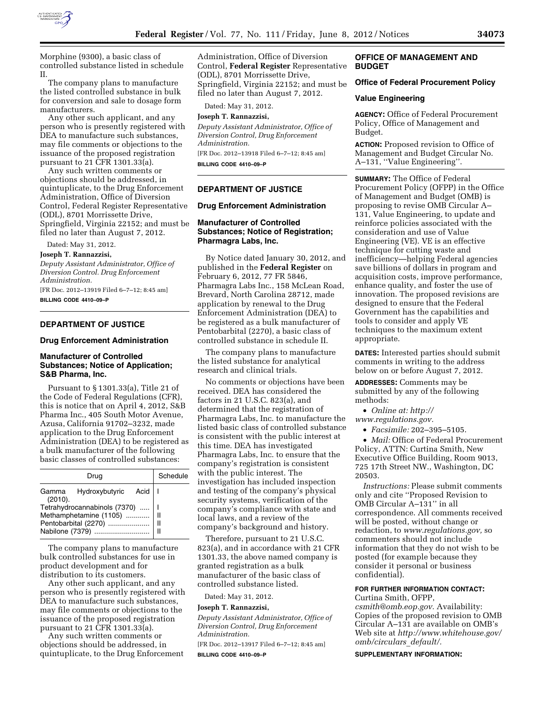

Morphine (9300), a basic class of controlled substance listed in schedule II.

The company plans to manufacture the listed controlled substance in bulk for conversion and sale to dosage form manufacturers.

Any other such applicant, and any person who is presently registered with DEA to manufacture such substances, may file comments or objections to the issuance of the proposed registration pursuant to 21 CFR 1301.33(a).

Any such written comments or objections should be addressed, in quintuplicate, to the Drug Enforcement Administration, Office of Diversion Control, Federal Register Representative (ODL), 8701 Morrissette Drive, Springfield, Virginia 22152; and must be filed no later than August 7, 2012.

Dated: May 31, 2012.

#### **Joseph T. Rannazzisi,**

*Deputy Assistant Administrator, Office of Diversion Control. Drug Enforcement Administration.* 

[FR Doc. 2012–13919 Filed 6–7–12; 8:45 am] **BILLING CODE 4410–09–P** 

### **DEPARTMENT OF JUSTICE**

#### **Drug Enforcement Administration**

### **Manufacturer of Controlled Substances; Notice of Application; S&B Pharma, Inc.**

Pursuant to § 1301.33(a), Title 21 of the Code of Federal Regulations (CFR), this is notice that on April 4, 2012, S&B Pharma Inc., 405 South Motor Avenue, Azusa, California 91702–3232, made application to the Drug Enforcement Administration (DEA) to be registered as a bulk manufacturer of the following basic classes of controlled substances:

| Drug                                     | Schedule |
|------------------------------------------|----------|
| Gamma Hydroxybutyric Acid   I<br>(2010). |          |
| Tetrahydrocannabinols (7370)    I        |          |
|                                          |          |
|                                          |          |
| Nabilone (7379)                          |          |

The company plans to manufacture bulk controlled substances for use in product development and for distribution to its customers.

Any other such applicant, and any person who is presently registered with DEA to manufacture such substances, may file comments or objections to the issuance of the proposed registration pursuant to 21 CFR 1301.33(a).

Any such written comments or objections should be addressed, in quintuplicate, to the Drug Enforcement Administration, Office of Diversion Control, **Federal Register** Representative (ODL), 8701 Morrissette Drive, Springfield, Virginia 22152; and must be filed no later than August 7, 2012.

Dated: May 31, 2012.

## **Joseph T. Rannazzisi,**

*Deputy Assistant Administrator, Office of Diversion Control, Drug Enforcement Administration.* 

[FR Doc. 2012–13918 Filed 6–7–12; 8:45 am] **BILLING CODE 4410–09–P** 

### **DEPARTMENT OF JUSTICE**

#### **Drug Enforcement Administration**

### **Manufacturer of Controlled Substances; Notice of Registration; Pharmagra Labs, Inc.**

By Notice dated January 30, 2012, and published in the **Federal Register** on February 6, 2012, 77 FR 5846, Pharmagra Labs Inc., 158 McLean Road, Brevard, North Carolina 28712, made application by renewal to the Drug Enforcement Administration (DEA) to be registered as a bulk manufacturer of Pentobarbital (2270), a basic class of controlled substance in schedule II.

The company plans to manufacture the listed substance for analytical research and clinical trials.

No comments or objections have been received. DEA has considered the factors in 21 U.S.C. 823(a), and determined that the registration of Pharmagra Labs, Inc. to manufacture the listed basic class of controlled substance is consistent with the public interest at this time. DEA has investigated Pharmagra Labs, Inc. to ensure that the company's registration is consistent with the public interest. The investigation has included inspection and testing of the company's physical security systems, verification of the company's compliance with state and local laws, and a review of the company's background and history.

Therefore, pursuant to 21 U.S.C. 823(a), and in accordance with 21 CFR 1301.33, the above named company is granted registration as a bulk manufacturer of the basic class of controlled substance listed.

Dated: May 31, 2012.

**Joseph T. Rannazzisi,** 

*Deputy Assistant Administrator, Office of Diversion Control, Drug Enforcement Administration.* 

[FR Doc. 2012–13917 Filed 6–7–12; 8:45 am] **BILLING CODE 4410–09–P** 

### **OFFICE OF MANAGEMENT AND BUDGET**

### **Office of Federal Procurement Policy**

#### **Value Engineering**

**AGENCY:** Office of Federal Procurement Policy, Office of Management and Budget.

**ACTION:** Proposed revision to Office of Management and Budget Circular No. A–131, ''Value Engineering''.

**SUMMARY:** The Office of Federal Procurement Policy (OFPP) in the Office of Management and Budget (OMB) is proposing to revise OMB Circular A– 131, Value Engineering, to update and reinforce policies associated with the consideration and use of Value Engineering (VE). VE is an effective technique for cutting waste and inefficiency—helping Federal agencies save billions of dollars in program and acquisition costs, improve performance, enhance quality, and foster the use of innovation. The proposed revisions are designed to ensure that the Federal Government has the capabilities and tools to consider and apply VE techniques to the maximum extent appropriate.

**DATES:** Interested parties should submit comments in writing to the address below on or before August 7, 2012.

**ADDRESSES:** Comments may be submitted by any of the following methods:

- *Online at: [http://](http://www.regulations.gov)*
- *[www.regulations.gov.](http://www.regulations.gov)* 
	- *Facsimile:* 202–395–5105.

• *Mail:* Office of Federal Procurement Policy, ATTN: Curtina Smith, New Executive Office Building, Room 9013, 725 17th Street NW., Washington, DC 20503.

*Instructions:* Please submit comments only and cite ''Proposed Revision to OMB Circular A–131'' in all correspondence. All comments received will be posted, without change or redaction, to *[www.regulations.gov,](http://www.regulations.gov)* so commenters should not include information that they do not wish to be posted (for example because they consider it personal or business confidential).

# **FOR FURTHER INFORMATION CONTACT:**

Curtina Smith, OFPP, *[csmith@omb.eop.gov.](mailto:csmith@omb.eop.gov)* Availability: Copies of the proposed revision to OMB Circular A–131 are available on OMB's Web site at *[http://www.whitehouse.gov/](http://www.whitehouse.gov/omb/circulars_default/)  [omb/circulars](http://www.whitehouse.gov/omb/circulars_default/)*\_*default/.* 

**SUPPLEMENTARY INFORMATION:**